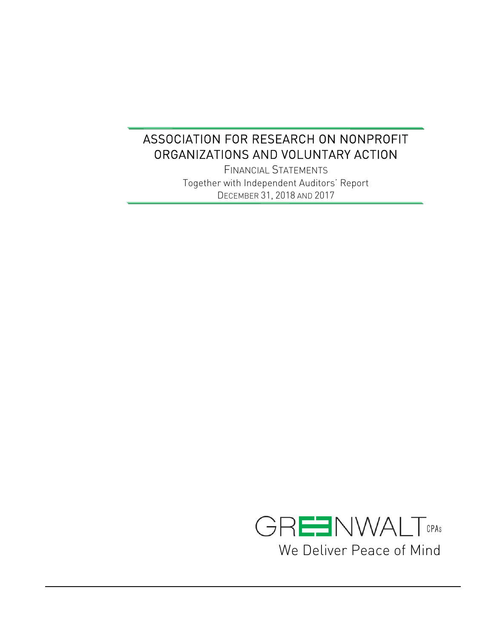FINANCIAL STATEMENTS Together with Independent Auditors' Report DECEMBER 31, 2018 AND 2017

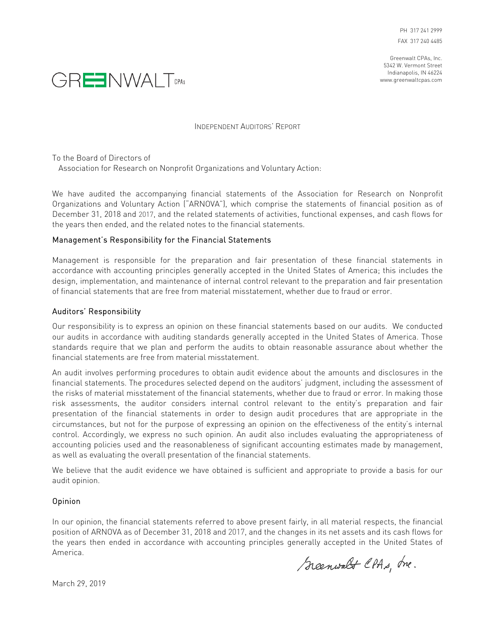Greenwalt CPAs, Inc. 5342 W. Vermont Street Indianapolis, IN 46224 www.greenwaltcpas.com



INDEPENDENT AUDITORS' REPORT

To the Board of Directors of

Association for Research on Nonprofit Organizations and Voluntary Action:

We have audited the accompanying financial statements of the Association for Research on Nonprofit Organizations and Voluntary Action ("ARNOVA"), which comprise the statements of financial position as of December 31, 2018 and 2017, and the related statements of activities, functional expenses, and cash flows for the years then ended, and the related notes to the financial statements.

#### Management's Responsibility for the Financial Statements

Management is responsible for the preparation and fair presentation of these financial statements in accordance with accounting principles generally accepted in the United States of America; this includes the design, implementation, and maintenance of internal control relevant to the preparation and fair presentation of financial statements that are free from material misstatement, whether due to fraud or error.

#### Auditors' Responsibility

Our responsibility is to express an opinion on these financial statements based on our audits. We conducted our audits in accordance with auditing standards generally accepted in the United States of America. Those standards require that we plan and perform the audits to obtain reasonable assurance about whether the financial statements are free from material misstatement.

An audit involves performing procedures to obtain audit evidence about the amounts and disclosures in the financial statements. The procedures selected depend on the auditors' judgment, including the assessment of the risks of material misstatement of the financial statements, whether due to fraud or error. In making those risk assessments, the auditor considers internal control relevant to the entity's preparation and fair presentation of the financial statements in order to design audit procedures that are appropriate in the circumstances, but not for the purpose of expressing an opinion on the effectiveness of the entity's internal control. Accordingly, we express no such opinion. An audit also includes evaluating the appropriateness of accounting policies used and the reasonableness of significant accounting estimates made by management, as well as evaluating the overall presentation of the financial statements.

We believe that the audit evidence we have obtained is sufficient and appropriate to provide a basis for our audit opinion.

#### Opinion

In our opinion, the financial statements referred to above present fairly, in all material respects, the financial position of ARNOVA as of December 31, 2018 and 2017, and the changes in its net assets and its cash flows for the years then ended in accordance with accounting principles generally accepted in the United States of America.

Scenwalt CPAs, me.

March 29, 2019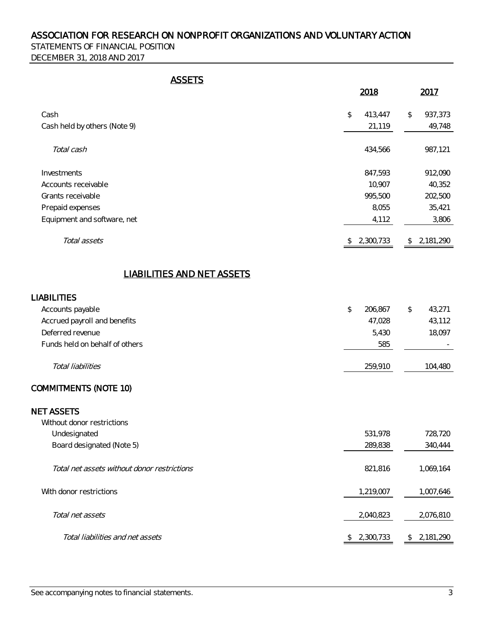STATEMENTS OF FINANCIAL POSITION DECEMBER 31, 2018 AND 2017

| <b>ASSETS</b>                               |                           |                          |  |  |
|---------------------------------------------|---------------------------|--------------------------|--|--|
|                                             | 2018                      | 2017                     |  |  |
| Cash                                        | $\updownarrow$<br>413,447 | 937,373<br>\$            |  |  |
| Cash held by others (Note 9)                | 21,119                    | 49,748                   |  |  |
| Total cash                                  | 434,566                   | 987,121                  |  |  |
| Investments                                 | 847,593                   | 912,090                  |  |  |
| Accounts receivable                         | 10,907                    | 40,352                   |  |  |
| Grants receivable                           | 995,500                   | 202,500                  |  |  |
| Prepaid expenses                            | 8,055                     | 35,421                   |  |  |
| Equipment and software, net                 | 4,112                     | 3,806                    |  |  |
| Total assets                                | \$2,300,733               | 2,181,290<br>\$          |  |  |
| <b>LIABILITIES AND NET ASSETS</b>           |                           |                          |  |  |
| <b>LIABILITIES</b>                          |                           |                          |  |  |
| Accounts payable                            | \$<br>206,867             | $$\mathbb{S}$$<br>43,271 |  |  |
| Accrued payroll and benefits                | 47,028                    | 43,112                   |  |  |
| Deferred revenue                            | 5,430                     | 18,097                   |  |  |
| Funds held on behalf of others              | 585                       |                          |  |  |
| Total liabilities                           | 259,910                   | 104,480                  |  |  |
| <b>COMMITMENTS (NOTE 10)</b>                |                           |                          |  |  |
| <b>NET ASSETS</b>                           |                           |                          |  |  |
| Without donor restrictions                  |                           |                          |  |  |
| Undesignated                                | 531,978                   | 728,720                  |  |  |
| Board designated (Note 5)                   | 289,838                   | 340,444                  |  |  |
| Total net assets without donor restrictions | 821,816                   | 1,069,164                |  |  |
| With donor restrictions                     | 1,219,007                 | 1,007,646                |  |  |
| Total net assets                            | 2,040,823                 | 2,076,810                |  |  |
| Total liabilities and net assets            | \$2,300,733               | 2,181,290<br>\$          |  |  |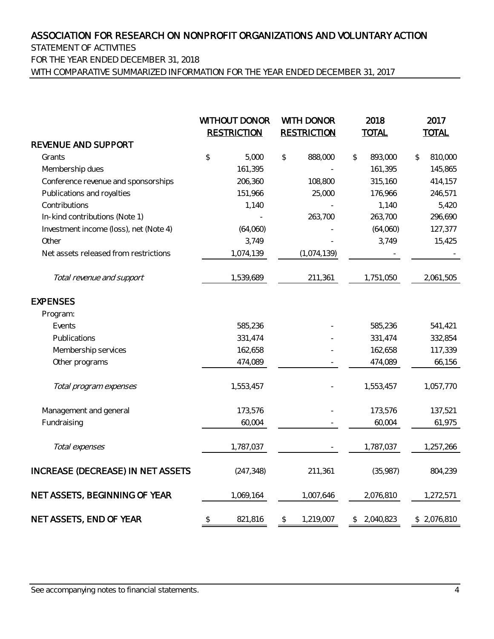STATEMENT OF ACTIVITIES

FOR THE YEAR ENDED DECEMBER 31, 2018

WITH COMPARATIVE SUMMARIZED INFORMATION FOR THE YEAR ENDED DECEMBER 31, 2017

|                                          | WITHOUT DONOR<br><b>RESTRICTION</b> | WITH DONOR<br><b>RESTRICTION</b> | 2018<br><b>TOTAL</b> | 2017<br><b>TOTAL</b> |
|------------------------------------------|-------------------------------------|----------------------------------|----------------------|----------------------|
| REVENUE AND SUPPORT                      |                                     |                                  |                      |                      |
| Grants                                   | \$<br>5,000                         | $\updownarrow$<br>888,000        | \$<br>893,000        | 810,000<br>\$        |
| Membership dues                          | 161,395                             |                                  | 161,395              | 145,865              |
| Conference revenue and sponsorships      | 206,360                             | 108,800                          | 315,160              | 414,157              |
| Publications and royalties               | 151,966                             | 25,000                           | 176,966              | 246,571              |
| Contributions                            | 1,140                               |                                  | 1,140                | 5,420                |
| In-kind contributions (Note 1)           |                                     | 263,700                          | 263,700              | 296,690              |
| Investment income (loss), net (Note 4)   | (64,060)                            |                                  | (64,060)             | 127,377              |
| Other                                    | 3,749                               |                                  | 3,749                | 15,425               |
| Net assets released from restrictions    | 1,074,139                           | (1,074,139)                      |                      |                      |
| Total revenue and support                | 1,539,689                           | 211,361                          | 1,751,050            | 2,061,505            |
| <b>EXPENSES</b>                          |                                     |                                  |                      |                      |
| Program:                                 |                                     |                                  |                      |                      |
| Events                                   | 585,236                             |                                  | 585,236              | 541,421              |
| Publications                             | 331,474                             |                                  | 331,474              | 332,854              |
| Membership services                      | 162,658                             |                                  | 162,658              | 117,339              |
| Other programs                           | 474,089                             |                                  | 474,089              | 66,156               |
| Total program expenses                   | 1,553,457                           |                                  | 1,553,457            | 1,057,770            |
| Management and general                   | 173,576                             |                                  | 173,576              | 137,521              |
| Fundraising                              | 60,004                              |                                  | 60,004               | 61,975               |
| Total expenses                           | 1,787,037                           |                                  | 1,787,037            | 1,257,266            |
| <b>INCREASE (DECREASE) IN NET ASSETS</b> | (247, 348)                          | 211,361                          | (35, 987)            | 804,239              |
| NET ASSETS, BEGINNING OF YEAR            | 1,069,164                           | 1,007,646                        | 2,076,810            | 1,272,571            |
| NET ASSETS, END OF YEAR                  | 821,816<br>\$                       | 1,219,007<br>\$                  | \$2,040,823          | \$2,076,810          |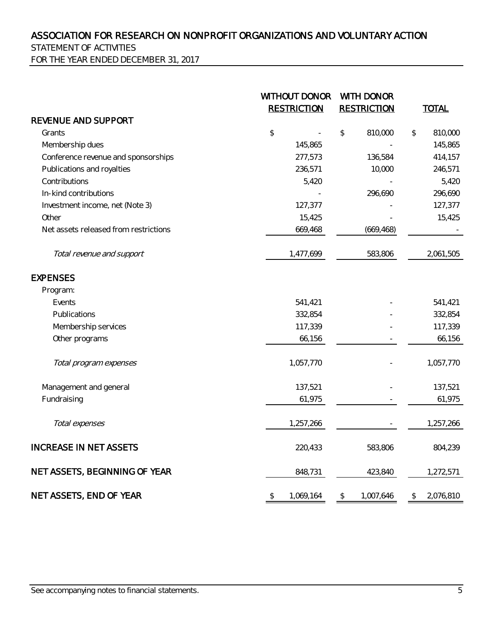STATEMENT OF ACTIVITIES

FOR THE YEAR ENDED DECEMBER 31, 2017

|                                       | WITHOUT DONOR      | WITH DONOR                |                 |  |
|---------------------------------------|--------------------|---------------------------|-----------------|--|
|                                       | <b>RESTRICTION</b> | <b>RESTRICTION</b>        | <b>TOTAL</b>    |  |
| REVENUE AND SUPPORT                   |                    |                           |                 |  |
| Grants                                | $\updownarrow$     | $\updownarrow$<br>810,000 | 810,000<br>\$   |  |
| Membership dues                       | 145,865            |                           | 145,865         |  |
| Conference revenue and sponsorships   | 277,573            | 136,584                   | 414,157         |  |
| Publications and royalties            | 236,571            | 10,000                    | 246,571         |  |
| Contributions                         | 5,420              |                           | 5,420           |  |
| In-kind contributions                 |                    | 296,690                   | 296,690         |  |
| Investment income, net (Note 3)       | 127,377            |                           | 127,377         |  |
| Other                                 | 15,425             |                           | 15,425          |  |
| Net assets released from restrictions | 669,468            | (669, 468)                |                 |  |
| Total revenue and support             | 1,477,699          | 583,806                   | 2,061,505       |  |
| <b>EXPENSES</b>                       |                    |                           |                 |  |
| Program:                              |                    |                           |                 |  |
| Events                                | 541,421            |                           | 541,421         |  |
| Publications                          | 332,854            |                           | 332,854         |  |
| Membership services                   | 117,339            |                           | 117,339         |  |
| Other programs                        | 66,156             |                           | 66,156          |  |
| Total program expenses                | 1,057,770          |                           | 1,057,770       |  |
| Management and general                | 137,521            |                           | 137,521         |  |
| Fundraising                           | 61,975             |                           | 61,975          |  |
| Total expenses                        | 1,257,266          |                           | 1,257,266       |  |
| <b>INCREASE IN NET ASSETS</b>         | 220,433            | 583,806                   | 804,239         |  |
| NET ASSETS, BEGINNING OF YEAR         | 848,731            | 423,840                   | 1,272,571       |  |
| NET ASSETS, END OF YEAR               | \$<br>1,069,164    | \$<br>1,007,646           | 2,076,810<br>\$ |  |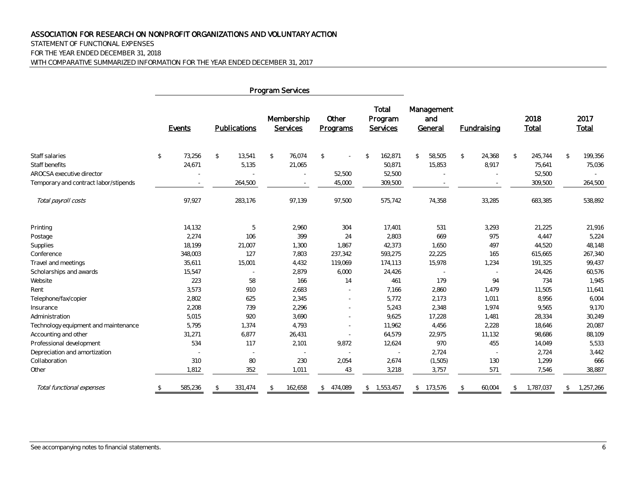STATEMENT OF FUNCTIONAL EXPENSES

FOR THE YEAR ENDED DECEMBER 31, 2018

WITH COMPARATIVE SUMMARIZED INFORMATION FOR THE YEAR ENDED DECEMBER 31, 2017

|                                                                                                        | Program Services                 |                                             |                                   |                                    |                                              |                              |                                 |                                              |                                                         |
|--------------------------------------------------------------------------------------------------------|----------------------------------|---------------------------------------------|-----------------------------------|------------------------------------|----------------------------------------------|------------------------------|---------------------------------|----------------------------------------------|---------------------------------------------------------|
|                                                                                                        | Events                           | Publications                                | Membership<br>Services            | Other<br>Programs                  | Total<br>Program<br>Services                 | Management<br>and<br>General | <b>Fundraising</b>              | 2018<br>Total                                |                                                         |
| Staff salaries<br>Staff benefits<br>AROCSA executive director<br>Temporary and contract labor/stipends | 73,256<br>\$<br>24,671<br>$\sim$ | $\mathcal{L}$<br>13,541<br>5,135<br>264,500 | $\mathcal{L}$<br>76,074<br>21,065 | $$\mathbb{S}$$<br>52,500<br>45,000 | 162,871<br>\$<br>50,871<br>52,500<br>309,500 | 58,505<br>\$<br>15,853       | $\mathbb{S}$<br>24,368<br>8,917 | 245,744<br>\$<br>75,641<br>52,500<br>309,500 | $\mathcal{L}$<br>199,356<br>75,036<br>$\sim$<br>264,500 |
| Total payroll costs                                                                                    | 97,927                           | 283,176                                     | 97,139                            | 97,500                             | 575,742                                      | 74,358                       | 33,285                          | 683,385                                      | 538,892                                                 |
| Printing                                                                                               | 14,132                           | 5                                           | 2,960                             | 304                                | 17,401                                       | 531                          | 3,293                           | 21,225                                       | 21,916                                                  |
| Postage                                                                                                | 2,274                            | 106                                         | 399                               | 24                                 | 2,803                                        | 669                          | 975                             | 4,447                                        | 5,224                                                   |
| Supplies                                                                                               | 18,199                           | 21,007                                      | 1,300                             | 1,867                              | 42,373                                       | 1,650                        | 497                             | 44,520                                       | 48,148                                                  |
| Conference                                                                                             | 348,003                          | 127                                         | 7,803                             | 237,342                            | 593,275                                      | 22,225                       | 165                             | 615,665                                      | 267,340                                                 |
| Travel and meetings                                                                                    | 35,611                           | 15,001                                      | 4,432                             | 119,069                            | 174,113                                      | 15,978                       | 1,234                           | 191,325                                      | 99,437                                                  |
| Scholarships and awards                                                                                | 15,547                           |                                             | 2,879                             | 6,000                              | 24,426                                       |                              |                                 | 24,426                                       | 60,576                                                  |
| Website                                                                                                | 223                              | 58                                          | 166                               | 14                                 | 461                                          | 179                          | 94                              | 734                                          | 1,945                                                   |
| Rent                                                                                                   | 3,573                            | 910                                         | 2,683                             | $\overline{a}$                     | 7,166                                        | 2,860                        | 1,479                           | 11,505                                       | 11,641                                                  |
| Telephone/fax/copier                                                                                   | 2,802                            | 625                                         | 2,345                             | $\sim$                             | 5,772                                        | 2,173                        | 1,011                           | 8,956                                        | 6,004                                                   |
| Insurance                                                                                              | 2,208                            | 739                                         | 2,296                             |                                    | 5,243                                        | 2,348                        | 1,974                           | 9,565                                        | 9,170                                                   |
| Administration                                                                                         | 5,015                            | 920                                         | 3,690                             |                                    | 9,625                                        | 17,228                       | 1,481                           | 28,334                                       | 30,249                                                  |
| Technology equipment and maintenance                                                                   | 5,795                            | 1,374                                       | 4,793                             |                                    | 11,962                                       | 4,456                        | 2,228                           | 18,646                                       | 20,087                                                  |
| Accounting and other                                                                                   | 31,271                           | 6,877                                       | 26,431                            | $\overline{\phantom{a}}$           | 64,579                                       | 22,975                       | 11,132                          | 98,686                                       | 88,109                                                  |
| Professional development                                                                               | 534                              | 117                                         | 2,101                             | 9,872                              | 12,624                                       | 970                          | 455                             | 14,049                                       | 5,533                                                   |
| Depreciation and amortization                                                                          | $\overline{\phantom{a}}$         | $\overline{\phantom{a}}$                    |                                   | $\overline{\phantom{a}}$           | $\overline{\phantom{a}}$                     | 2,724                        |                                 | 2,724                                        | 3,442                                                   |
| Collaboration                                                                                          | 310                              | 80                                          | 230                               | 2,054                              | 2,674                                        | (1, 505)                     | 130                             | 1,299                                        | 666                                                     |
| Other                                                                                                  | 1,812                            | 352                                         | 1,011                             | 43                                 | 3,218                                        | 3,757                        | 571                             | 7,546                                        | 38,887                                                  |
| Total functional expenses                                                                              | 585,236<br>\$                    | 331,474<br>\$                               | 162,658<br>\$                     | 474,089<br>$\mathbb{S}$            | 1,553,457<br>\$                              | 173,576<br>\$                | 60,004<br>\$                    | 1,787,037<br>\$                              | 1,257,266<br>\$                                         |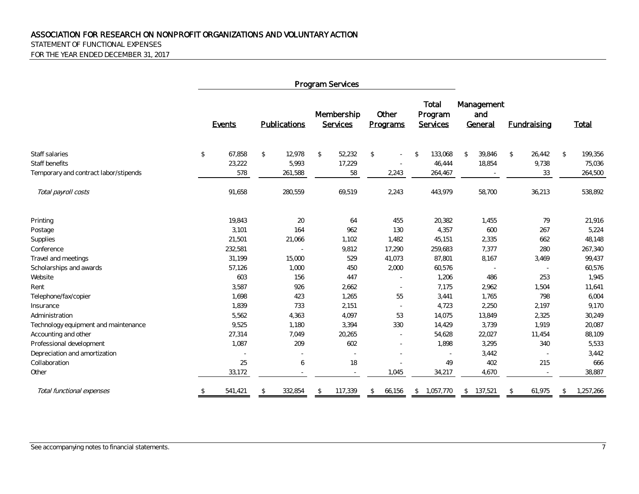STATEMENT OF FUNCTIONAL EXPENSES

FOR THE YEAR ENDED DECEMBER 31, 2017

|                                       | Program Services |         |               |                |            |                        |            |                   |            |                              |               |                              |                |                    |            |           |
|---------------------------------------|------------------|---------|---------------|----------------|------------|------------------------|------------|-------------------|------------|------------------------------|---------------|------------------------------|----------------|--------------------|------------|-----------|
|                                       |                  | Events  |               | Publications   |            | Membership<br>Services |            | Other<br>Programs |            | Total<br>Program<br>Services |               | Management<br>and<br>General |                | <b>Fundraising</b> |            | Total     |
| Staff salaries                        | $\,$             | 67,858  | $\sqrt{2}$    | 12,978         | $\sqrt{2}$ | 52,232                 | $\sqrt{2}$ |                   | $\sqrt{2}$ | 133,068                      | $\mathcal{L}$ | 39,846                       | $\mathfrak{D}$ | 26,442             | $\sqrt{2}$ | 199,356   |
| Staff benefits                        |                  | 23,222  |               | 5,993          |            | 17,229                 |            |                   |            | 46,444                       |               | 18,854                       |                | 9,738              |            | 75,036    |
| Temporary and contract labor/stipends |                  | 578     |               | 261,588        |            | 58                     |            | 2,243             |            | 264,467                      |               | $\sim$                       |                | 33                 |            | 264,500   |
| Total payroll costs                   |                  | 91,658  |               | 280,559        |            | 69,519                 |            | 2,243             |            | 443,979                      |               | 58,700                       |                | 36,213             |            | 538,892   |
| Printing                              |                  | 19,843  |               | 20             |            | 64                     |            | 455               |            | 20,382                       |               | 1,455                        |                | 79                 |            | 21,916    |
| Postage                               |                  | 3,101   |               | 164            |            | 962                    |            | 130               |            | 4,357                        |               | 600                          |                | 267                |            | 5,224     |
| Supplies                              |                  | 21,501  |               | 21,066         |            | 1,102                  |            | 1,482             |            | 45,151                       |               | 2,335                        |                | 662                |            | 48,148    |
| Conference                            |                  | 232,581 |               | $\overline{a}$ |            | 9,812                  |            | 17,290            |            | 259,683                      |               | 7,377                        |                | 280                |            | 267,340   |
| Travel and meetings                   |                  | 31,199  |               | 15,000         |            | 529                    |            | 41,073            |            | 87,801                       |               | 8,167                        |                | 3,469              |            | 99,437    |
| Scholarships and awards               |                  | 57,126  |               | 1,000          |            | 450                    |            | 2,000             |            | 60,576                       |               | $\sim$                       |                | $\sim$             |            | 60,576    |
| Website                               |                  | 603     |               | 156            |            | 447                    |            | $\sim$            |            | 1,206                        |               | 486                          |                | 253                |            | 1,945     |
| Rent                                  |                  | 3,587   |               | 926            |            | 2,662                  |            | $\sim$            |            | 7,175                        |               | 2,962                        |                | 1,504              |            | 11,641    |
| Telephone/fax/copier                  |                  | 1,698   |               | 423            |            | 1,265                  |            | 55                |            | 3,441                        |               | 1,765                        |                | 798                |            | 6,004     |
| Insurance                             |                  | 1,839   |               | 733            |            | 2,151                  |            |                   |            | 4,723                        |               | 2,250                        |                | 2,197              |            | 9,170     |
| Administration                        |                  | 5,562   |               | 4,363          |            | 4,097                  |            | 53                |            | 14,075                       |               | 13,849                       |                | 2,325              |            | 30,249    |
| Technology equipment and maintenance  |                  | 9,525   |               | 1,180          |            | 3,394                  |            | 330               |            | 14,429                       |               | 3,739                        |                | 1,919              |            | 20,087    |
| Accounting and other                  |                  | 27,314  |               | 7,049          |            | 20,265                 |            | $\sim$            |            | 54,628                       |               | 22,027                       |                | 11,454             |            | 88,109    |
| Professional development              |                  | 1,087   |               | 209            |            | 602                    |            | $\sim$            |            | 1,898                        |               | 3,295                        |                | 340                |            | 5,533     |
| Depreciation and amortization         |                  |         |               | ä,             |            |                        |            |                   |            |                              |               | 3,442                        |                | $\sim$             |            | 3,442     |
| Collaboration                         |                  | 25      |               | 6              |            | 18                     |            |                   |            | 49                           |               | 402                          |                | 215                |            | 666       |
| Other                                 |                  | 33,172  |               |                |            | $\sim$                 |            | 1,045             |            | 34,217                       |               | 4,670                        |                |                    |            | 38,887    |
| Total functional expenses             | $\mathcal{L}$    | 541,421 | <sup>\$</sup> | 332,854        | \$         | 117,339                | \$         | 66,156            | S.         | 1,057,770                    | \$            | 137,521                      | \$             | 61,975             | \$         | 1,257,266 |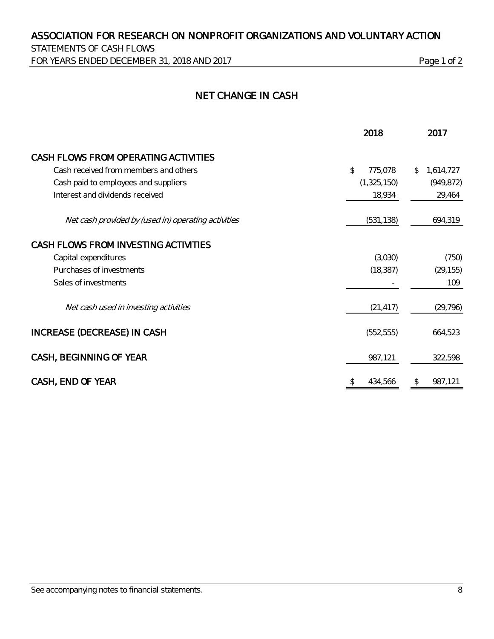STATEMENTS OF CASH FLOWS FOR YEARS ENDED DECEMBER 31, 2018 AND 2017 Page 1 of 2

## NET CHANGE IN CASH

|                                                     | 2018          | 2017            |
|-----------------------------------------------------|---------------|-----------------|
| CASH FLOWS FROM OPERATING ACTIVITIES                |               |                 |
| Cash received from members and others               | \$<br>775,078 | 1,614,727<br>\$ |
| Cash paid to employees and suppliers                | (1, 325, 150) | (949, 872)      |
| Interest and dividends received                     | 18,934        | 29,464          |
| Net cash provided by (used in) operating activities | (531, 138)    | 694,319         |
| CASH FLOWS FROM INVESTING ACTIVITIES                |               |                 |
| Capital expenditures                                | (3,030)       | (750)           |
| Purchases of investments                            | (18, 387)     | (29, 155)       |
| Sales of investments                                |               | 109             |
| Net cash used in investing activities               | (21, 417)     | (29, 796)       |
| INCREASE (DECREASE) IN CASH                         | (552, 555)    | 664,523         |
| CASH, BEGINNING OF YEAR                             | 987,121       | 322,598         |
| CASH, END OF YEAR                                   | 434,566       | 987,121<br>\$   |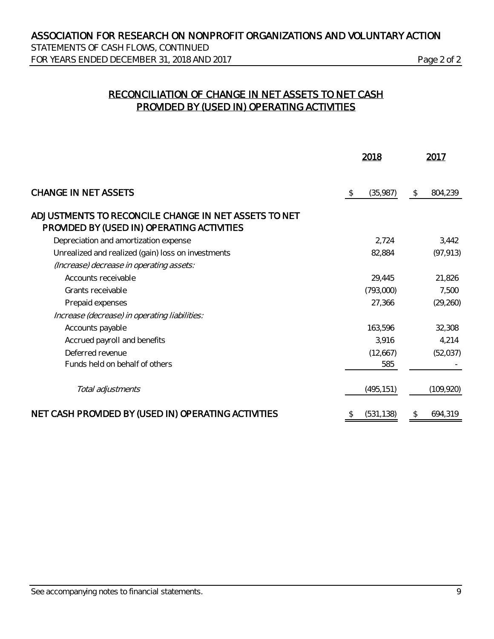STATEMENTS OF CASH FLOWS, CONTINUED FOR YEARS ENDED DECEMBER 31, 2018 AND 2017 Page 2 of 2

## RECONCILIATION OF CHANGE IN NET ASSETS TO NET CASH PROVIDED BY (USED IN) OPERATING ACTIVITIES

|                                                                                                    | 2018          | 2017                    |
|----------------------------------------------------------------------------------------------------|---------------|-------------------------|
| <b>CHANGE IN NET ASSETS</b>                                                                        | (35,987)<br>S | 804,239<br>$\mathbb{S}$ |
| ADJUSTMENTS TO RECONCILE CHANGE IN NET ASSETS TO NET<br>PROVIDED BY (USED IN) OPERATING ACTIVITIES |               |                         |
| Depreciation and amortization expense                                                              | 2,724         | 3,442                   |
| Unrealized and realized (gain) loss on investments                                                 | 82,884        | (97, 913)               |
| (Increase) decrease in operating assets:                                                           |               |                         |
| Accounts receivable                                                                                | 29,445        | 21,826                  |
| Grants receivable                                                                                  | (793,000)     | 7,500                   |
| Prepaid expenses                                                                                   | 27,366        | (29, 260)               |
| Increase (decrease) in operating liabilities:                                                      |               |                         |
| Accounts payable                                                                                   | 163,596       | 32,308                  |
| Accrued payroll and benefits                                                                       | 3,916         | 4,214                   |
| Deferred revenue                                                                                   | (12,667)      | (52,037)                |
| Funds held on behalf of others                                                                     | 585           |                         |
| Total adjustments                                                                                  | (495, 151)    | (109, 920)              |
| NET CASH PROVIDED BY (USED IN) OPERATING ACTIVITIES                                                | (531, 138)    | 694,319                 |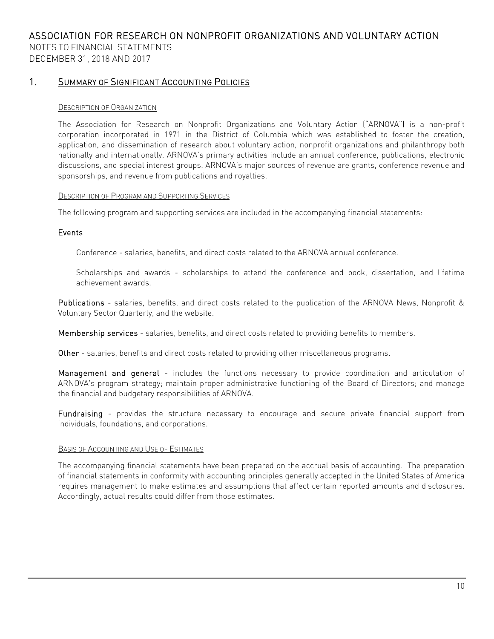## 1. SUMMARY OF SIGNIFICANT ACCOUNTING POLICIES

#### DESCRIPTION OF ORGANIZATION

The Association for Research on Nonprofit Organizations and Voluntary Action ("ARNOVA") is a non-profit corporation incorporated in 1971 in the District of Columbia which was established to foster the creation, application, and dissemination of research about voluntary action, nonprofit organizations and philanthropy both nationally and internationally. ARNOVA's primary activities include an annual conference, publications, electronic discussions, and special interest groups. ARNOVA's major sources of revenue are grants, conference revenue and sponsorships, and revenue from publications and royalties.

#### DESCRIPTION OF PROGRAM AND SUPPORTING SERVICES

The following program and supporting services are included in the accompanying financial statements:

#### Events

Conference - salaries, benefits, and direct costs related to the ARNOVA annual conference.

Scholarships and awards - scholarships to attend the conference and book, dissertation, and lifetime achievement awards.

Publications - salaries, benefits, and direct costs related to the publication of the ARNOVA News, Nonprofit & Voluntary Sector Quarterly, and the website.

Membership services - salaries, benefits, and direct costs related to providing benefits to members.

Other - salaries, benefits and direct costs related to providing other miscellaneous programs.

Management and general - includes the functions necessary to provide coordination and articulation of ARNOVA's program strategy; maintain proper administrative functioning of the Board of Directors; and manage the financial and budgetary responsibilities of ARNOVA.

Fundraising - provides the structure necessary to encourage and secure private financial support from individuals, foundations, and corporations.

#### BASIS OF ACCOUNTING AND USE OF ESTIMATES

The accompanying financial statements have been prepared on the accrual basis of accounting. The preparation of financial statements in conformity with accounting principles generally accepted in the United States of America requires management to make estimates and assumptions that affect certain reported amounts and disclosures. Accordingly, actual results could differ from those estimates.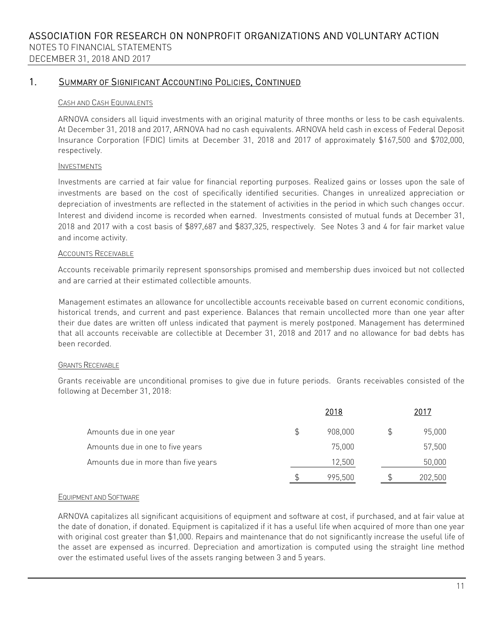### 1. SUMMARY OF SIGNIFICANT ACCOUNTING POLICIES, CONTINUED

#### CASH AND CASH EQUIVALENTS

ARNOVA considers all liquid investments with an original maturity of three months or less to be cash equivalents. At December 31, 2018 and 2017, ARNOVA had no cash equivalents. ARNOVA held cash in excess of Federal Deposit Insurance Corporation (FDIC) limits at December 31, 2018 and 2017 of approximately \$167,500 and \$702,000, respectively.

#### INVESTMENTS

Investments are carried at fair value for financial reporting purposes. Realized gains or losses upon the sale of investments are based on the cost of specifically identified securities. Changes in unrealized appreciation or depreciation of investments are reflected in the statement of activities in the period in which such changes occur. Interest and dividend income is recorded when earned. Investments consisted of mutual funds at December 31, 2018 and 2017 with a cost basis of \$897,687 and \$837,325, respectively. See Notes 3 and 4 for fair market value and income activity.

#### ACCOUNTS RECEIVABLE

Accounts receivable primarily represent sponsorships promised and membership dues invoiced but not collected and are carried at their estimated collectible amounts.

Management estimates an allowance for uncollectible accounts receivable based on current economic conditions, historical trends, and current and past experience. Balances that remain uncollected more than one year after their due dates are written off unless indicated that payment is merely postponed. Management has determined that all accounts receivable are collectible at December 31, 2018 and 2017 and no allowance for bad debts has been recorded.

#### GRANTS RECEIVABLE

Grants receivable are unconditional promises to give due in future periods. Grants receivables consisted of the following at December 31, 2018:

|                                     | 2018          | 2017    |
|-------------------------------------|---------------|---------|
| Amounts due in one year             | \$<br>908,000 | 95,000  |
| Amounts due in one to five years    | 75,000        | 57,500  |
| Amounts due in more than five years | 12,500        | 50,000  |
|                                     | 995,500       | 202,500 |

#### EQUIPMENT AND SOFTWARE

ARNOVA capitalizes all significant acquisitions of equipment and software at cost, if purchased, and at fair value at the date of donation, if donated. Equipment is capitalized if it has a useful life when acquired of more than one year with original cost greater than \$1,000. Repairs and maintenance that do not significantly increase the useful life of the asset are expensed as incurred. Depreciation and amortization is computed using the straight line method over the estimated useful lives of the assets ranging between 3 and 5 years.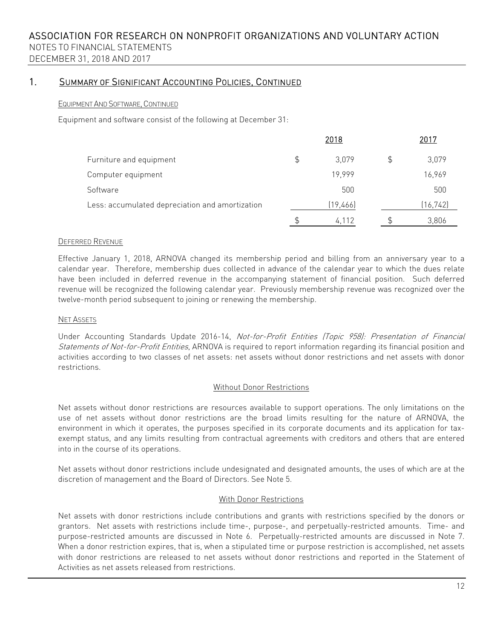## 1. SUMMARY OF SIGNIFICANT ACCOUNTING POLICIES, CONTINUED

#### EQUIPMENT AND SOFTWARE, CONTINUED

Equipment and software consist of the following at December 31:

|                                                 |               | 2018      |   | 2017      |
|-------------------------------------------------|---------------|-----------|---|-----------|
| Furniture and equipment                         | $\frac{1}{2}$ | 3,079     | S | 3,079     |
| Computer equipment                              |               | 19.999    |   | 16,969    |
| Software                                        |               | 500       |   | 500       |
| Less: accumulated depreciation and amortization |               | (19, 466) |   | (16, 742) |
|                                                 | \$            | 4.112     |   | 3,806     |

#### DEFERRED REVENUE

Effective January 1, 2018, ARNOVA changed its membership period and billing from an anniversary year to a calendar year. Therefore, membership dues collected in advance of the calendar year to which the dues relate have been included in deferred revenue in the accompanying statement of financial position. Such deferred revenue will be recognized the following calendar year. Previously membership revenue was recognized over the twelve-month period subsequent to joining or renewing the membership.

#### NET ASSETS

Under Accounting Standards Update 2016-14, Not-for-Profit Entities (Topic 958): Presentation of Financial Statements of Not-for-Profit Entities, ARNOVA is required to report information regarding its financial position and activities according to two classes of net assets: net assets without donor restrictions and net assets with donor restrictions.

#### Without Donor Restrictions

Net assets without donor restrictions are resources available to support operations. The only limitations on the use of net assets without donor restrictions are the broad limits resulting for the nature of ARNOVA, the environment in which it operates, the purposes specified in its corporate documents and its application for taxexempt status, and any limits resulting from contractual agreements with creditors and others that are entered into in the course of its operations.

Net assets without donor restrictions include undesignated and designated amounts, the uses of which are at the discretion of management and the Board of Directors. See Note 5.

#### With Donor Restrictions

Net assets with donor restrictions include contributions and grants with restrictions specified by the donors or grantors. Net assets with restrictions include time-, purpose-, and perpetually-restricted amounts. Time- and purpose-restricted amounts are discussed in Note 6. Perpetually-restricted amounts are discussed in Note 7. When a donor restriction expires, that is, when a stipulated time or purpose restriction is accomplished, net assets with donor restrictions are released to net assets without donor restrictions and reported in the Statement of Activities as net assets released from restrictions.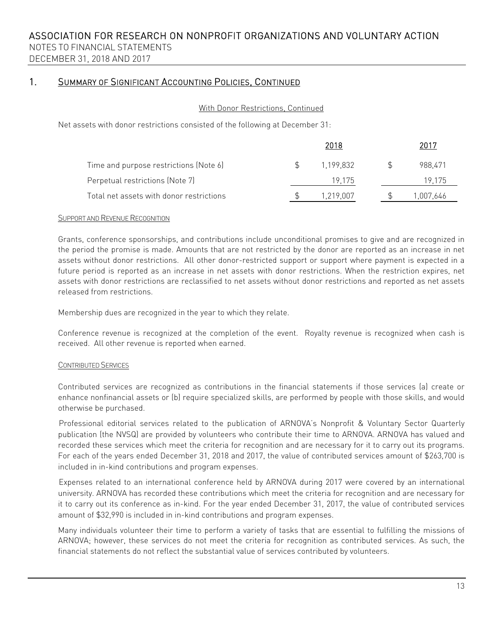## ASSOCIATION FOR RESEARCH ON NONPROFIT ORGANIZATIONS AND VOLUNTARY ACTION NOTES TO FINANCIAL STATEMENTS DECEMBER 31, 2018 AND 2017

## 1. SUMMARY OF SIGNIFICANT ACCOUNTING POLICIES, CONTINUED

#### With Donor Restrictions, Continued

Net assets with donor restrictions consisted of the following at December 31:

|                                          | 2018      |  |          |
|------------------------------------------|-----------|--|----------|
| Time and purpose restrictions (Note 6)   | 1.199.832 |  | 988.471  |
| Perpetual restrictions (Note 7)          | 19 175    |  | 19.175   |
| Total net assets with donor restrictions | 1.219.007 |  | ,007,646 |

#### SUPPORT AND REVENUE RECOGNITION

Grants, conference sponsorships, and contributions include unconditional promises to give and are recognized in the period the promise is made. Amounts that are not restricted by the donor are reported as an increase in net assets without donor restrictions. All other donor-restricted support or support where payment is expected in a future period is reported as an increase in net assets with donor restrictions. When the restriction expires, net assets with donor restrictions are reclassified to net assets without donor restrictions and reported as net assets released from restrictions.

Membership dues are recognized in the year to which they relate.

Conference revenue is recognized at the completion of the event. Royalty revenue is recognized when cash is received. All other revenue is reported when earned.

#### CONTRIBUTED SERVICES

Contributed services are recognized as contributions in the financial statements if those services (a) create or enhance nonfinancial assets or (b) require specialized skills, are performed by people with those skills, and would otherwise be purchased.

Professional editorial services related to the publication of ARNOVA's Nonprofit & Voluntary Sector Quarterly publication (the NVSQ) are provided by volunteers who contribute their time to ARNOVA. ARNOVA has valued and recorded these services which meet the criteria for recognition and are necessary for it to carry out its programs. For each of the years ended December 31, 2018 and 2017, the value of contributed services amount of \$263,700 is included in in-kind contributions and program expenses.

Expenses related to an international conference held by ARNOVA during 2017 were covered by an international university. ARNOVA has recorded these contributions which meet the criteria for recognition and are necessary for it to carry out its conference as in-kind. For the year ended December 31, 2017, the value of contributed services amount of \$32,990 is included in in-kind contributions and program expenses.

Many individuals volunteer their time to perform a variety of tasks that are essential to fulfilling the missions of ARNOVA; however, these services do not meet the criteria for recognition as contributed services. As such, the financial statements do not reflect the substantial value of services contributed by volunteers.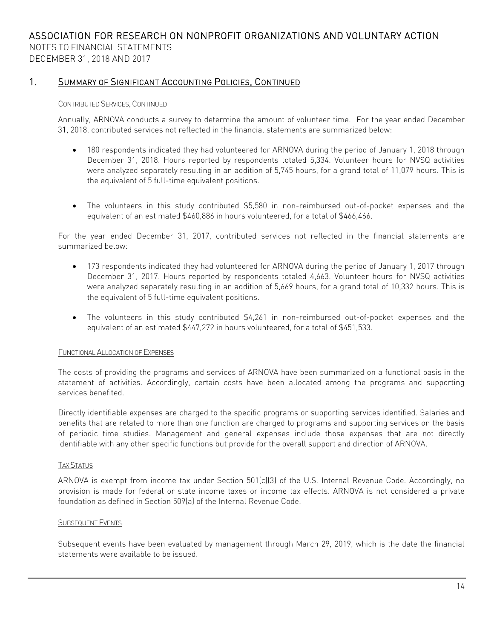## 1. SUMMARY OF SIGNIFICANT ACCOUNTING POLICIES, CONTINUED

#### CONTRIBUTED SERVICES, CONTINUED

Annually, ARNOVA conducts a survey to determine the amount of volunteer time. For the year ended December 31, 2018, contributed services not reflected in the financial statements are summarized below:

- 180 respondents indicated they had volunteered for ARNOVA during the period of January 1, 2018 through December 31, 2018. Hours reported by respondents totaled 5,334. Volunteer hours for NVSQ activities were analyzed separately resulting in an addition of 5,745 hours, for a grand total of 11,079 hours. This is the equivalent of 5 full-time equivalent positions.
- The volunteers in this study contributed \$5,580 in non-reimbursed out-of-pocket expenses and the equivalent of an estimated \$460,886 in hours volunteered, for a total of \$466,466.

For the year ended December 31, 2017, contributed services not reflected in the financial statements are summarized below:

- 173 respondents indicated they had volunteered for ARNOVA during the period of January 1, 2017 through December 31, 2017. Hours reported by respondents totaled 4,663. Volunteer hours for NVSQ activities were analyzed separately resulting in an addition of 5,669 hours, for a grand total of 10,332 hours. This is the equivalent of 5 full-time equivalent positions.
- The volunteers in this study contributed \$4,261 in non-reimbursed out-of-pocket expenses and the equivalent of an estimated \$447,272 in hours volunteered, for a total of \$451,533.

#### FUNCTIONAL ALLOCATION OF EXPENSES

The costs of providing the programs and services of ARNOVA have been summarized on a functional basis in the statement of activities. Accordingly, certain costs have been allocated among the programs and supporting services benefited.

Directly identifiable expenses are charged to the specific programs or supporting services identified. Salaries and benefits that are related to more than one function are charged to programs and supporting services on the basis of periodic time studies. Management and general expenses include those expenses that are not directly identifiable with any other specific functions but provide for the overall support and direction of ARNOVA.

#### TAX STATUS

ARNOVA is exempt from income tax under Section 501(c)(3) of the U.S. Internal Revenue Code. Accordingly, no provision is made for federal or state income taxes or income tax effects. ARNOVA is not considered a private foundation as defined in Section 509(a) of the Internal Revenue Code.

#### SUBSEQUENT EVENTS

Subsequent events have been evaluated by management through March 29, 2019, which is the date the financial statements were available to be issued.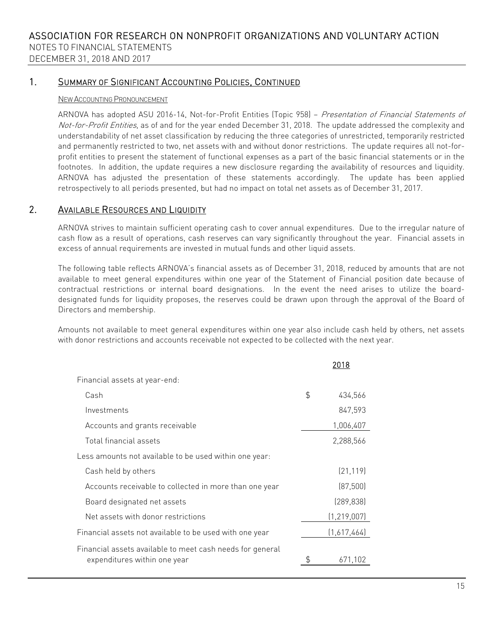## 1. SUMMARY OF SIGNIFICANT ACCOUNTING POLICIES, CONTINUED

#### NEW ACCOUNTING PRONOUNCEMENT

ARNOVA has adopted ASU 2016-14, Not-for-Profit Entities (Topic 958) - Presentation of Financial Statements of Not-for-Profit Entities, as of and for the year ended December 31, 2018. The update addressed the complexity and understandability of net asset classification by reducing the three categories of unrestricted, temporarily restricted and permanently restricted to two, net assets with and without donor restrictions. The update requires all not-forprofit entities to present the statement of functional expenses as a part of the basic financial statements or in the footnotes. In addition, the update requires a new disclosure regarding the availability of resources and liquidity. ARNOVA has adjusted the presentation of these statements accordingly. The update has been applied retrospectively to all periods presented, but had no impact on total net assets as of December 31, 2017.

### 2. AVAILABLE RESOURCES AND LIQUIDITY

ARNOVA strives to maintain sufficient operating cash to cover annual expenditures. Due to the irregular nature of cash flow as a result of operations, cash reserves can vary significantly throughout the year. Financial assets in excess of annual requirements are invested in mutual funds and other liquid assets.

The following table reflects ARNOVA's financial assets as of December 31, 2018, reduced by amounts that are not available to meet general expenditures within one year of the Statement of Financial position date because of contractual restrictions or internal board designations. In the event the need arises to utilize the boarddesignated funds for liquidity proposes, the reserves could be drawn upon through the approval of the Board of Directors and membership.

Amounts not available to meet general expenditures within one year also include cash held by others, net assets with donor restrictions and accounts receivable not expected to be collected with the next year.

|                                                                                           | 2018          |
|-------------------------------------------------------------------------------------------|---------------|
| Financial assets at year-end:                                                             |               |
| Cash                                                                                      | \$<br>434,566 |
| Investments                                                                               | 847,593       |
| Accounts and grants receivable                                                            | 1,006,407     |
| Total financial assets                                                                    | 2,288,566     |
| Less amounts not available to be used within one year:                                    |               |
| Cash held by others                                                                       | [21, 119]     |
| Accounts receivable to collected in more than one year                                    | (87,500)      |
| Board designated net assets                                                               | (289, 838)    |
| Net assets with donor restrictions                                                        | (1, 219, 007) |
| Financial assets not available to be used with one year                                   | (1,617,464)   |
| Financial assets available to meet cash needs for general<br>expenditures within one year | 671,102       |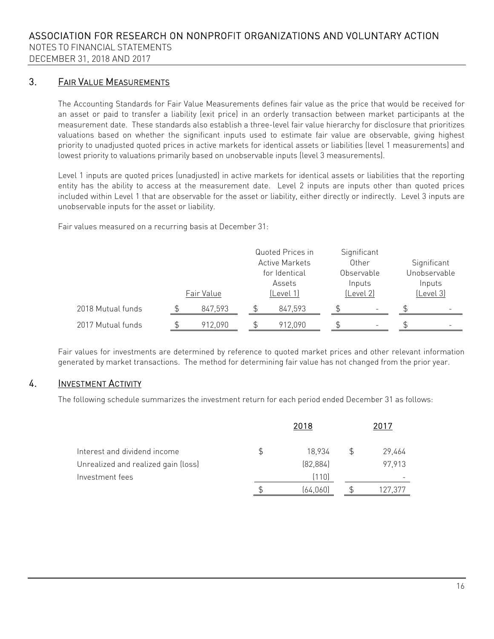DECEMBER 31, 2018 AND 2017

## 3. FAIR VALUE MEASUREMENTS

The Accounting Standards for Fair Value Measurements defines fair value as the price that would be received for an asset or paid to transfer a liability (exit price) in an orderly transaction between market participants at the measurement date. These standards also establish a three-level fair value hierarchy for disclosure that prioritizes valuations based on whether the significant inputs used to estimate fair value are observable, giving highest priority to unadjusted quoted prices in active markets for identical assets or liabilities (level 1 measurements) and lowest priority to valuations primarily based on unobservable inputs (level 3 measurements).

Level 1 inputs are quoted prices (unadjusted) in active markets for identical assets or liabilities that the reporting entity has the ability to access at the measurement date. Level 2 inputs are inputs other than quoted prices included within Level 1 that are observable for the asset or liability, either directly or indirectly. Level 3 inputs are unobservable inputs for the asset or liability.

Fair values measured on a recurring basis at December 31:

|                   |            |                                      | Quoted Prices in<br><b>Active Markets</b> | Significant<br>Other              | Significant                                |
|-------------------|------------|--------------------------------------|-------------------------------------------|-----------------------------------|--------------------------------------------|
|                   | Fair Value | for Identical<br>Assets<br>(Level 1) |                                           | Observable<br>Inputs<br>[Level 2] | Unobservable<br>Inputs<br><u>(Level 3)</u> |
| 2018 Mutual funds | 847,593    |                                      | 847,593                                   | $\overline{\phantom{a}}$          |                                            |
| 2017 Mutual funds | 912,090    |                                      | 912,090                                   | $\overline{\phantom{a}}$          |                                            |

Fair values for investments are determined by reference to quoted market prices and other relevant information generated by market transactions. The method for determining fair value has not changed from the prior year.

## 4. INVESTMENT ACTIVITY

The following schedule summarizes the investment return for each period ended December 31 as follows:

|                                     |   | 2018      | 2017 |         |  |
|-------------------------------------|---|-----------|------|---------|--|
| Interest and dividend income        | S | 18,934    | \$   | 29,464  |  |
| Unrealized and realized gain (loss) |   | [82, 884] |      | 97,913  |  |
| Investment fees                     |   | (110)     |      |         |  |
|                                     |   | (64,060)  |      | 127.377 |  |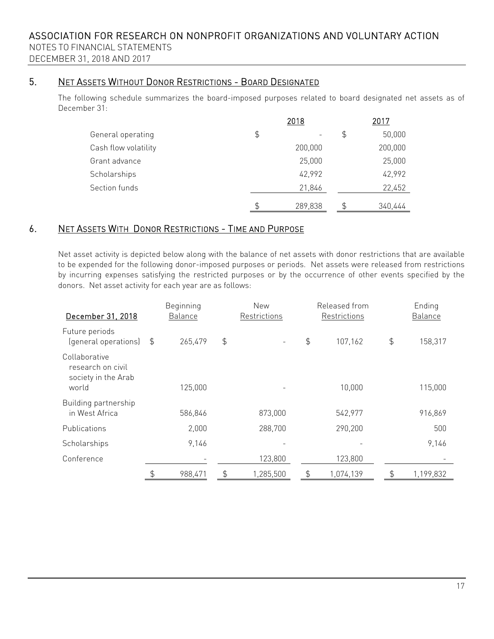DECEMBER 31, 2018 AND 2017

## 5. NET ASSETS WITHOUT DONOR RESTRICTIONS - BOARD DESIGNATED

The following schedule summarizes the board-imposed purposes related to board designated net assets as of December 31:

|                      | 2018          | 2017          |
|----------------------|---------------|---------------|
| General operating    | \$            | \$<br>50,000  |
| Cash flow volatility | 200,000       | 200,000       |
| Grant advance        | 25,000        | 25,000        |
| Scholarships         | 42,992        | 42,992        |
| Section funds        | 21,846        | 22,452        |
|                      | \$<br>289,838 | \$<br>340,444 |

## 6. NET ASSETS WITH DONOR RESTRICTIONS - TIME AND PURPOSE

Net asset activity is depicted below along with the balance of net assets with donor restrictions that are available to be expended for the following donor-imposed purposes or periods. Net assets were released from restrictions by incurring expenses satisfying the restricted purposes or by the occurrence of other events specified by the donors. Net asset activity for each year are as follows:

| December 31, 2018                                                  | Beginning<br>Balance |               | New<br>Restrictions      | Released from<br>Restrictions |           |               | Ending<br>Balance |  |
|--------------------------------------------------------------------|----------------------|---------------|--------------------------|-------------------------------|-----------|---------------|-------------------|--|
| Future periods<br>(general operations) \$                          | 265,479              | $\frac{4}{3}$ | $\overline{\phantom{a}}$ | \$                            | 107,162   | $\frac{4}{5}$ | 158,317           |  |
| Collaborative<br>research on civil<br>society in the Arab<br>world | 125,000              |               |                          |                               | 10,000    |               | 115,000           |  |
| Building partnership<br>in West Africa                             | 586,846              |               | 873,000                  |                               | 542,977   |               | 916,869           |  |
| Publications                                                       | 2,000                |               | 288,700                  |                               | 290,200   |               | 500               |  |
| Scholarships                                                       | 9,146                |               |                          |                               |           |               | 9,146             |  |
| Conference                                                         |                      |               | 123,800                  |                               | 123,800   |               |                   |  |
|                                                                    | 988,471              | \$            | 1,285,500                |                               | 1,074,139 |               | 1,199,832         |  |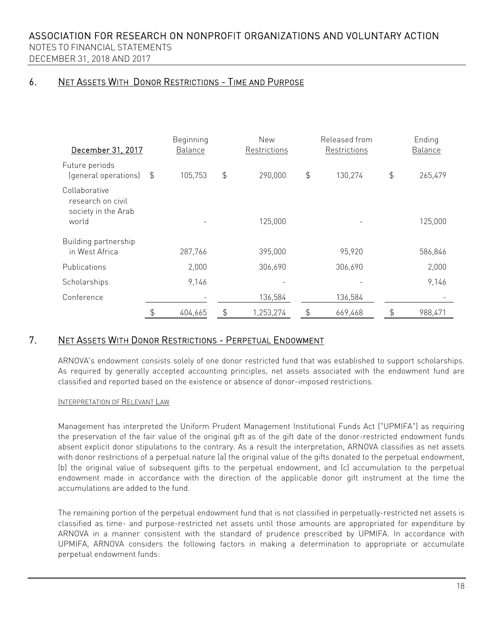## 6. NET ASSETS WITH DONOR RESTRICTIONS - TIME AND PURPOSE

| December 31, 2017                                                  |                | Beginning<br>Balance | <b>New</b><br>Restrictions | Released from<br>Restrictions |         |               | Ending<br>Balance |
|--------------------------------------------------------------------|----------------|----------------------|----------------------------|-------------------------------|---------|---------------|-------------------|
| Future periods<br>(general operations)                             | $\mathfrak{F}$ | 105,753              | \$<br>290,000              | $\frac{4}{5}$                 | 130,274 | $\frac{4}{5}$ | 265,479           |
| Collaborative<br>research on civil<br>society in the Arab<br>world |                |                      | 125,000                    |                               |         |               | 125,000           |
| Building partnership<br>in West Africa                             |                | 287,766              | 395,000                    |                               | 95,920  |               | 586,846           |
| Publications                                                       |                | 2,000                | 306,690                    |                               | 306,690 |               | 2,000             |
| Scholarships                                                       |                | 9,146                |                            |                               |         |               | 9,146             |
| Conference                                                         |                |                      | 136,584                    |                               | 136,584 |               |                   |
|                                                                    | \$             | 404,665              | \$<br>1,253,274            | \$                            | 669,468 | \$            | 988,471           |

## 7. NET ASSETS WITH DONOR RESTRICTIONS - PERPETUAL ENDOWMENT

ARNOVA's endowment consists solely of one donor restricted fund that was established to support scholarships. As required by generally accepted accounting principles, net assets associated with the endowment fund are classified and reported based on the existence or absence of donor-imposed restrictions.

#### INTERPRETATION OF RELEVANT LAW

Management has interpreted the Uniform Prudent Management Institutional Funds Act ("UPMIFA") as requiring the preservation of the fair value of the original gift as of the gift date of the donor-restricted endowment funds absent explicit donor stipulations to the contrary. As a result the interpretation, ARNOVA classifies as net assets with donor restrictions of a perpetual nature (a) the original value of the gifts donated to the perpetual endowment, (b) the original value of subsequent gifts to the perpetual endowment, and (c) accumulation to the perpetual endowment made in accordance with the direction of the applicable donor gift instrument at the time the accumulations are added to the fund.

The remaining portion of the perpetual endowment fund that is not classified in perpetually-restricted net assets is classified as time- and purpose-restricted net assets until those amounts are appropriated for expenditure by ARNOVA in a manner consistent with the standard of prudence prescribed by UPMIFA. In accordance with UPMIFA, ARNOVA considers the following factors in making a determination to appropriate or accumulate perpetual endowment funds: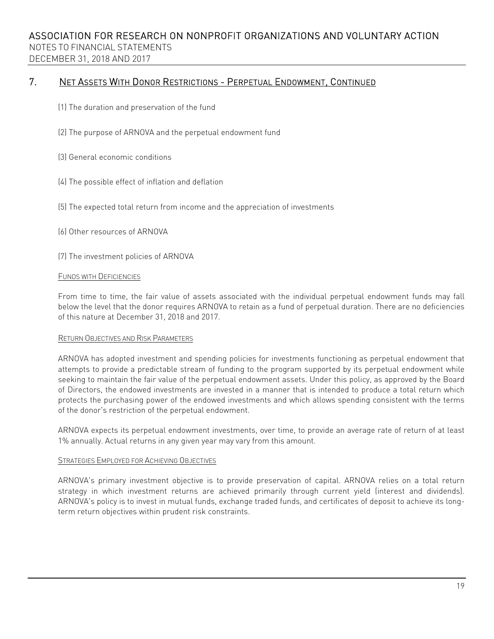## 7. NET ASSETS WITH DONOR RESTRICTIONS - PERPETUAL ENDOWMENT, CONTINUED

- (1) The duration and preservation of the fund
- (2) The purpose of ARNOVA and the perpetual endowment fund
- (3) General economic conditions
- (4) The possible effect of inflation and deflation
- (5) The expected total return from income and the appreciation of investments
- (6) Other resources of ARNOVA
- (7) The investment policies of ARNOVA

#### FUNDS WITH DEFICIENCIES

From time to time, the fair value of assets associated with the individual perpetual endowment funds may fall below the level that the donor requires ARNOVA to retain as a fund of perpetual duration. There are no deficiencies of this nature at December 31, 2018 and 2017.

#### RETURN OBJECTIVES AND RISK PARAMETERS

ARNOVA has adopted investment and spending policies for investments functioning as perpetual endowment that attempts to provide a predictable stream of funding to the program supported by its perpetual endowment while seeking to maintain the fair value of the perpetual endowment assets. Under this policy, as approved by the Board of Directors, the endowed investments are invested in a manner that is intended to produce a total return which protects the purchasing power of the endowed investments and which allows spending consistent with the terms of the donor's restriction of the perpetual endowment.

ARNOVA expects its perpetual endowment investments, over time, to provide an average rate of return of at least 1% annually. Actual returns in any given year may vary from this amount.

#### STRATEGIES EMPLOYED FOR ACHIEVING OBJECTIVES

ARNOVA's primary investment objective is to provide preservation of capital. ARNOVA relies on a total return strategy in which investment returns are achieved primarily through current yield (interest and dividends). ARNOVA's policy is to invest in mutual funds, exchange traded funds, and certificates of deposit to achieve its longterm return objectives within prudent risk constraints.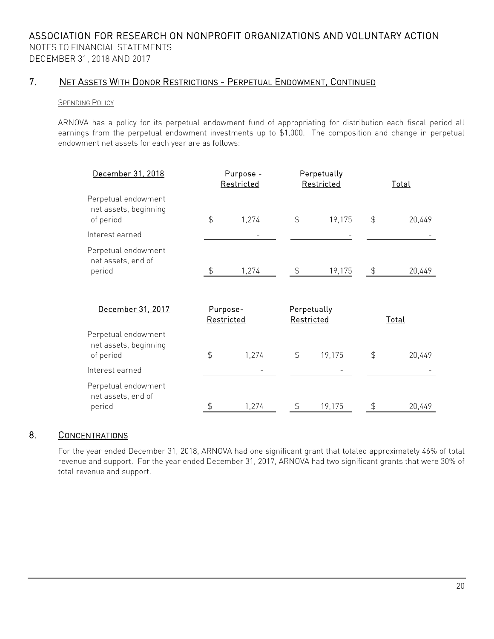## 7. NET ASSETS WITH DONOR RESTRICTIONS - PERPETUAL ENDOWMENT, CONTINUED

#### SPENDING POLICY

ARNOVA has a policy for its perpetual endowment fund of appropriating for distribution each fiscal period all earnings from the perpetual endowment investments up to \$1,000. The composition and change in perpetual endowment net assets for each year are as follows:

|                               |       |                                |        | <b>Total</b>              |        |  |
|-------------------------------|-------|--------------------------------|--------|---------------------------|--------|--|
| $\frac{1}{2}$                 | 1,274 | $\textcircled{\scriptsize{5}}$ | 19,175 | $\frac{4}{5}$             | 20,449 |  |
|                               |       |                                |        |                           |        |  |
| $\frac{4}{5}$                 | 1,274 | $\mathfrak{L}$                 | 19,175 | $\oint$                   | 20,449 |  |
| Purpose-<br><b>Restricted</b> |       | Perpetually<br>Restricted      |        | Total                     |        |  |
| \$                            | 1,274 | $\textcircled{\scriptsize{5}}$ | 19,175 | \$                        | 20,449 |  |
|                               |       |                                |        |                           |        |  |
|                               |       |                                |        |                           | 20,449 |  |
|                               |       | Purpose -<br>Restricted        | 1,274  | Perpetually<br>Restricted |        |  |

## 8. CONCENTRATIONS

For the year ended December 31, 2018, ARNOVA had one significant grant that totaled approximately 46% of total revenue and support. For the year ended December 31, 2017, ARNOVA had two significant grants that were 30% of total revenue and support.